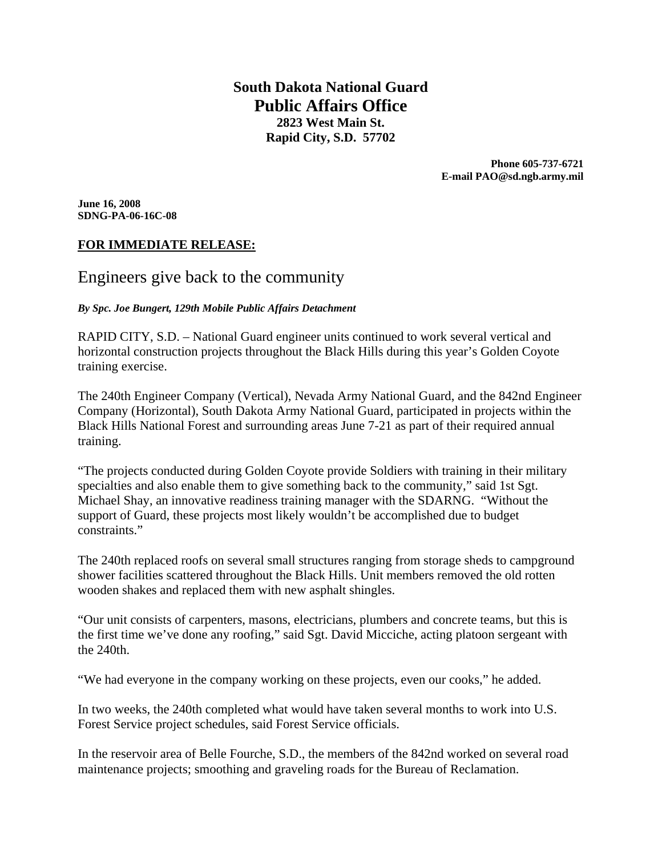**South Dakota National Guard Public Affairs Office 2823 West Main St. Rapid City, S.D. 57702** 

> **Phone 605-737-6721 E-mail PAO@sd.ngb.army.mil**

**June 16, 2008 SDNG-PA-06-16C-08** 

## **FOR IMMEDIATE RELEASE:**

# Engineers give back to the community

*By Spc. Joe Bungert, 129th Mobile Public Affairs Detachment* 

RAPID CITY, S.D. – National Guard engineer units continued to work several vertical and horizontal construction projects throughout the Black Hills during this year's Golden Coyote training exercise.

The 240th Engineer Company (Vertical), Nevada Army National Guard, and the 842nd Engineer Company (Horizontal), South Dakota Army National Guard, participated in projects within the Black Hills National Forest and surrounding areas June 7-21 as part of their required annual training.

"The projects conducted during Golden Coyote provide Soldiers with training in their military specialties and also enable them to give something back to the community," said 1st Sgt. Michael Shay, an innovative readiness training manager with the SDARNG. "Without the support of Guard, these projects most likely wouldn't be accomplished due to budget constraints."

The 240th replaced roofs on several small structures ranging from storage sheds to campground shower facilities scattered throughout the Black Hills. Unit members removed the old rotten wooden shakes and replaced them with new asphalt shingles.

"Our unit consists of carpenters, masons, electricians, plumbers and concrete teams, but this is the first time we've done any roofing," said Sgt. David Micciche, acting platoon sergeant with the 240th.

"We had everyone in the company working on these projects, even our cooks," he added.

In two weeks, the 240th completed what would have taken several months to work into U.S. Forest Service project schedules, said Forest Service officials.

In the reservoir area of Belle Fourche, S.D., the members of the 842nd worked on several road maintenance projects; smoothing and graveling roads for the Bureau of Reclamation.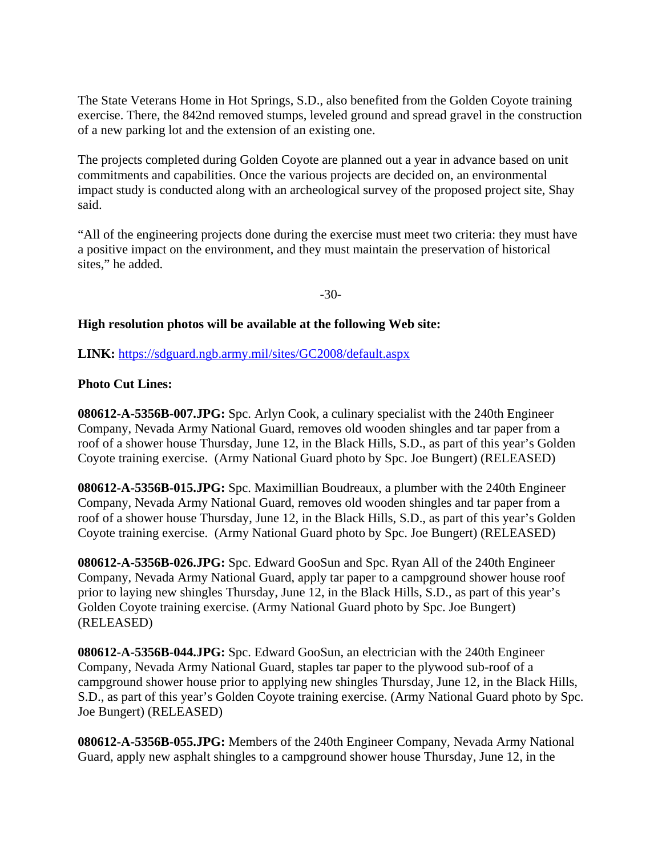The State Veterans Home in Hot Springs, S.D., also benefited from the Golden Coyote training exercise. There, the 842nd removed stumps, leveled ground and spread gravel in the construction of a new parking lot and the extension of an existing one.

The projects completed during Golden Coyote are planned out a year in advance based on unit commitments and capabilities. Once the various projects are decided on, an environmental impact study is conducted along with an archeological survey of the proposed project site, Shay said.

"All of the engineering projects done during the exercise must meet two criteria: they must have a positive impact on the environment, and they must maintain the preservation of historical sites," he added.

-30-

#### **High resolution photos will be available at the following Web site:**

**LINK:** https://sdguard.ngb.army.mil/sites/GC2008/default.aspx

### **Photo Cut Lines:**

**080612-A-5356B-007.JPG:** Spc. Arlyn Cook, a culinary specialist with the 240th Engineer Company, Nevada Army National Guard, removes old wooden shingles and tar paper from a roof of a shower house Thursday, June 12, in the Black Hills, S.D., as part of this year's Golden Coyote training exercise. (Army National Guard photo by Spc. Joe Bungert) (RELEASED)

**080612-A-5356B-015.JPG:** Spc. Maximillian Boudreaux, a plumber with the 240th Engineer Company, Nevada Army National Guard, removes old wooden shingles and tar paper from a roof of a shower house Thursday, June 12, in the Black Hills, S.D., as part of this year's Golden Coyote training exercise. (Army National Guard photo by Spc. Joe Bungert) (RELEASED)

**080612-A-5356B-026.JPG:** Spc. Edward GooSun and Spc. Ryan All of the 240th Engineer Company, Nevada Army National Guard, apply tar paper to a campground shower house roof prior to laying new shingles Thursday, June 12, in the Black Hills, S.D., as part of this year's Golden Coyote training exercise. (Army National Guard photo by Spc. Joe Bungert) (RELEASED)

**080612-A-5356B-044.JPG:** Spc. Edward GooSun, an electrician with the 240th Engineer Company, Nevada Army National Guard, staples tar paper to the plywood sub-roof of a campground shower house prior to applying new shingles Thursday, June 12, in the Black Hills, S.D., as part of this year's Golden Coyote training exercise. (Army National Guard photo by Spc. Joe Bungert) (RELEASED)

**080612-A-5356B-055.JPG:** Members of the 240th Engineer Company, Nevada Army National Guard, apply new asphalt shingles to a campground shower house Thursday, June 12, in the